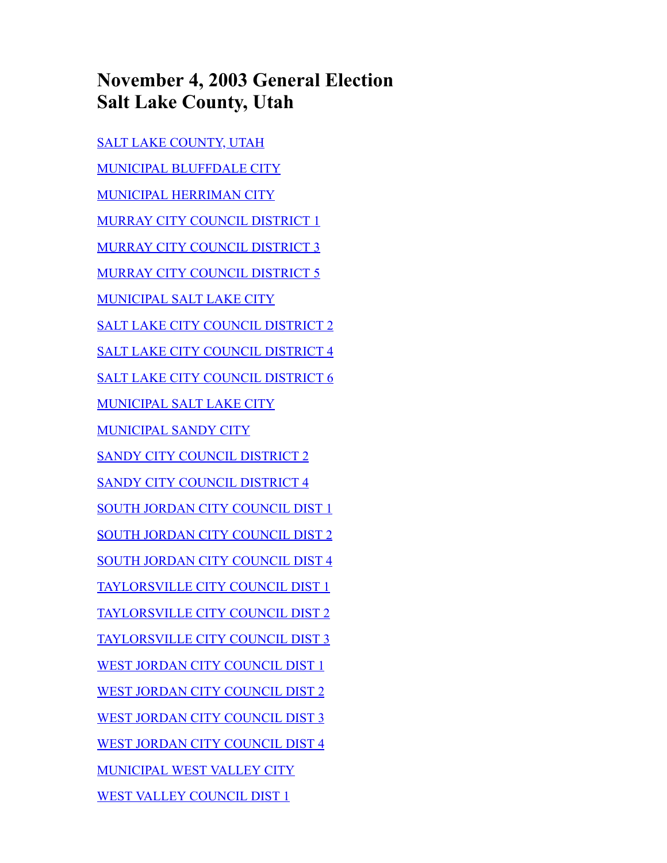# **November 4, 2003 General Election Salt Lake County, Utah**

[SALT LAKE COUNTY, UTAH](#page-1-0) [MUNICIPAL BLUFFDALE CITY](#page-1-1) [MUNICIPAL HERRIMAN CITY](#page-1-2) [MURRAY CITY COUNCIL DISTRICT 1](#page-1-3) [MURRAY CITY COUNCIL DISTRICT 3](#page-2-0) [MURRAY CITY COUNCIL DISTRICT 5](#page-2-1) [MUNICIPAL SALT LAKE CITY](#page-2-2) [SALT LAKE CITY COUNCIL DISTRICT 2](#page-3-0) [SALT LAKE CITY COUNCIL DISTRICT 4](#page-3-1) [SALT LAKE CITY COUNCIL DISTRICT 6](#page-3-2) [MUNICIPAL SALT LAKE CITY](#page-3-3) [MUNICIPAL SANDY CITY](#page-4-0) [SANDY CITY COUNCIL DISTRICT 2](#page-5-0) [SANDY CITY COUNCIL DISTRICT 4](#page-5-1) [SOUTH JORDAN CITY COUNCIL DIST 1](#page-5-2) [SOUTH JORDAN CITY COUNCIL DIST 2](#page-5-3) [SOUTH JORDAN CITY COUNCIL DIST 4](#page-6-0) [TAYLORSVILLE CITY COUNCIL DIST 1](#page-6-1) [TAYLORSVILLE CITY COUNCIL DIST 2](#page-6-2) [TAYLORSVILLE CITY COUNCIL DIST 3](#page-6-3) [WEST JORDAN CITY COUNCIL DIST 1](#page-7-0) [WEST JORDAN CITY COUNCIL DIST 2](#page-7-1) [WEST JORDAN CITY COUNCIL DIST 3](#page-7-2) [WEST JORDAN CITY COUNCIL DIST 4](#page-7-3) [MUNICIPAL WEST VALLEY CITY](#page-8-0) [WEST VALLEY COUNCIL DIST 1](#page-8-1)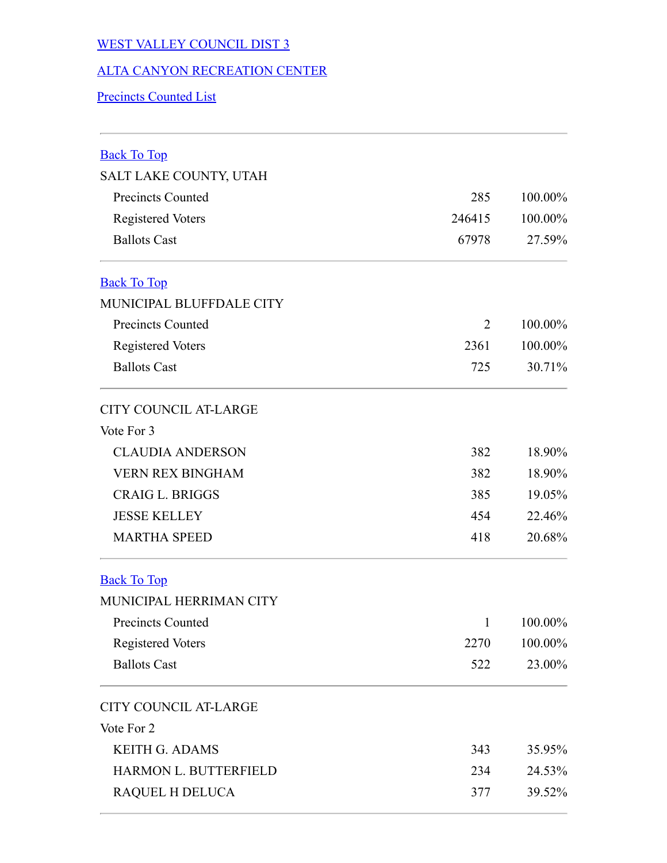### [WEST VALLEY COUNCIL DIST 3](#page-8-2)

#### [ALTA CANYON RECREATION CENTER](#page-9-0)

#### [Precincts Counted List](#page-9-1)

<span id="page-1-3"></span><span id="page-1-2"></span><span id="page-1-1"></span><span id="page-1-0"></span>

| <b>Back To Top</b>           |              |         |
|------------------------------|--------------|---------|
| SALT LAKE COUNTY, UTAH       |              |         |
| <b>Precincts Counted</b>     | 285          | 100.00% |
| <b>Registered Voters</b>     | 246415       | 100.00% |
| <b>Ballots Cast</b>          | 67978        | 27.59%  |
| <b>Back To Top</b>           |              |         |
| MUNICIPAL BLUFFDALE CITY     |              |         |
| <b>Precincts Counted</b>     | 2            | 100.00% |
| <b>Registered Voters</b>     | 2361         | 100.00% |
| <b>Ballots Cast</b>          | 725          | 30.71%  |
| <b>CITY COUNCIL AT-LARGE</b> |              |         |
| Vote For 3                   |              |         |
| <b>CLAUDIA ANDERSON</b>      | 382          | 18.90%  |
| <b>VERN REX BINGHAM</b>      | 382          | 18.90%  |
| <b>CRAIG L. BRIGGS</b>       | 385          | 19.05%  |
| <b>JESSE KELLEY</b>          | 454          | 22.46%  |
| <b>MARTHA SPEED</b>          | 418          | 20.68%  |
| <b>Back To Top</b>           |              |         |
| MUNICIPAL HERRIMAN CITY      |              |         |
| Precincts Counted            | $\mathbf{1}$ | 100.00% |
| <b>Registered Voters</b>     | 2270         | 100.00% |
| <b>Ballots Cast</b>          | 522          | 23.00%  |
| <b>CITY COUNCIL AT-LARGE</b> |              |         |
| Vote For 2                   |              |         |
| <b>KEITH G. ADAMS</b>        | 343          | 35.95%  |
| HARMON L. BUTTERFIELD        | 234          | 24.53%  |
| RAQUEL H DELUCA              | 377          | 39.52%  |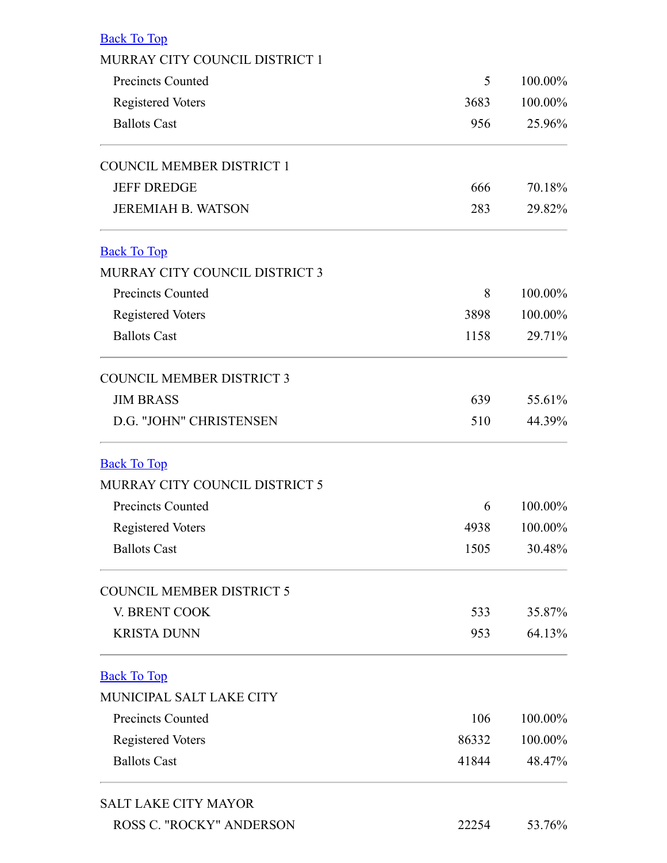<span id="page-2-2"></span><span id="page-2-1"></span><span id="page-2-0"></span>

| <b>Back To Top</b>               |       |         |
|----------------------------------|-------|---------|
| MURRAY CITY COUNCIL DISTRICT 1   |       |         |
| <b>Precincts Counted</b>         | 5     | 100.00% |
| <b>Registered Voters</b>         | 3683  | 100.00% |
| <b>Ballots Cast</b>              | 956   | 25.96%  |
| <b>COUNCIL MEMBER DISTRICT 1</b> |       |         |
| <b>JEFF DREDGE</b>               | 666   | 70.18%  |
| <b>JEREMIAH B. WATSON</b>        | 283   | 29.82%  |
| <b>Back To Top</b>               |       |         |
| MURRAY CITY COUNCIL DISTRICT 3   |       |         |
| <b>Precincts Counted</b>         | 8     | 100.00% |
| <b>Registered Voters</b>         | 3898  | 100.00% |
| <b>Ballots Cast</b>              | 1158  | 29.71%  |
| <b>COUNCIL MEMBER DISTRICT 3</b> |       |         |
| <b>JIM BRASS</b>                 | 639   | 55.61%  |
| D.G. "JOHN" CHRISTENSEN          | 510   | 44.39%  |
| <b>Back To Top</b>               |       |         |
| MURRAY CITY COUNCIL DISTRICT 5   |       |         |
| <b>Precincts Counted</b>         | 6     | 100.00% |
| <b>Registered Voters</b>         | 4938  | 100.00% |
| <b>Ballots Cast</b>              | 1505  | 30.48%  |
| <b>COUNCIL MEMBER DISTRICT 5</b> |       |         |
| V. BRENT COOK                    | 533   | 35.87%  |
| <b>KRISTA DUNN</b>               | 953   | 64.13%  |
| <b>Back To Top</b>               |       |         |
| MUNICIPAL SALT LAKE CITY         |       |         |
| <b>Precincts Counted</b>         | 106   | 100.00% |
| <b>Registered Voters</b>         | 86332 | 100.00% |
| <b>Ballots Cast</b>              | 41844 | 48.47%  |
| <b>SALT LAKE CITY MAYOR</b>      |       |         |
| ROSS C. "ROCKY" ANDERSON         | 22254 | 53.76%  |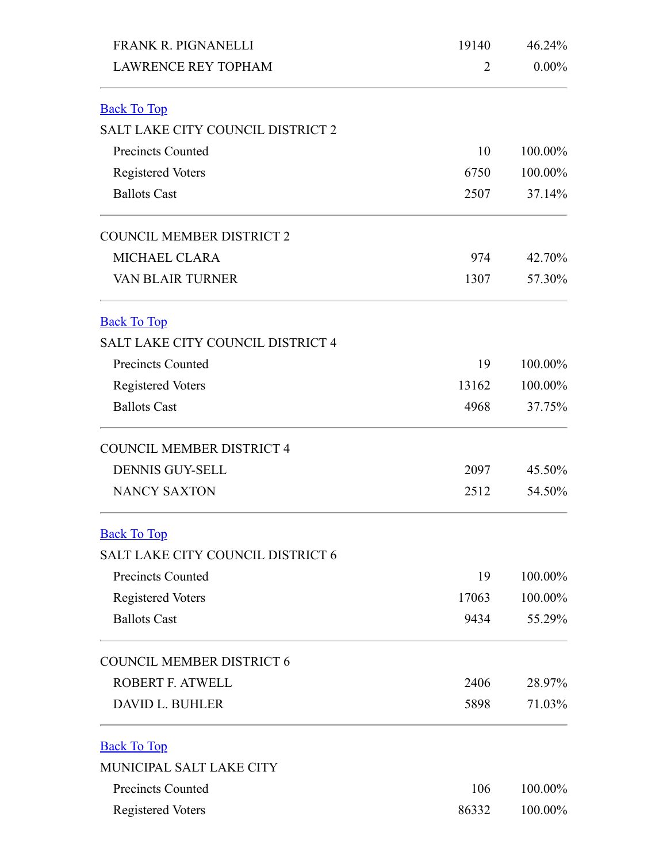<span id="page-3-3"></span><span id="page-3-2"></span><span id="page-3-1"></span><span id="page-3-0"></span>

| FRANK R. PIGNANELLI                      | 19140 | 46.24%   |  |
|------------------------------------------|-------|----------|--|
| <b>LAWRENCE REY TOPHAM</b>               | 2     | $0.00\%$ |  |
| <b>Back To Top</b>                       |       |          |  |
| <b>SALT LAKE CITY COUNCIL DISTRICT 2</b> |       |          |  |
| <b>Precincts Counted</b>                 | 10    | 100.00%  |  |
| <b>Registered Voters</b>                 | 6750  | 100.00%  |  |
| <b>Ballots Cast</b>                      | 2507  | 37.14%   |  |
| <b>COUNCIL MEMBER DISTRICT 2</b>         |       |          |  |
| <b>MICHAEL CLARA</b>                     | 974   | 42.70%   |  |
| <b>VAN BLAIR TURNER</b>                  | 1307  | 57.30%   |  |
| <b>Back To Top</b>                       |       |          |  |
| <b>SALT LAKE CITY COUNCIL DISTRICT 4</b> |       |          |  |
| <b>Precincts Counted</b>                 | 19    | 100.00%  |  |
| <b>Registered Voters</b>                 | 13162 | 100.00%  |  |
| <b>Ballots Cast</b>                      | 4968  | 37.75%   |  |
| <b>COUNCIL MEMBER DISTRICT 4</b>         |       |          |  |
| <b>DENNIS GUY-SELL</b>                   | 2097  | 45.50%   |  |
| <b>NANCY SAXTON</b>                      | 2512  | 54.50%   |  |
| <b>Back To Top</b>                       |       |          |  |
| <b>SALT LAKE CITY COUNCIL DISTRICT 6</b> |       |          |  |
| <b>Precincts Counted</b>                 | 19    | 100.00%  |  |
| <b>Registered Voters</b>                 | 17063 | 100.00%  |  |
| <b>Ballots Cast</b>                      | 9434  | 55.29%   |  |
| <b>COUNCIL MEMBER DISTRICT 6</b>         |       |          |  |
| ROBERT F. ATWELL                         | 2406  | 28.97%   |  |
| <b>DAVID L. BUHLER</b>                   | 5898  | 71.03%   |  |
| <b>Back To Top</b>                       |       |          |  |
| MUNICIPAL SALT LAKE CITY                 |       |          |  |
| <b>Precincts Counted</b>                 | 106   | 100.00%  |  |
| <b>Registered Voters</b>                 | 86332 | 100.00%  |  |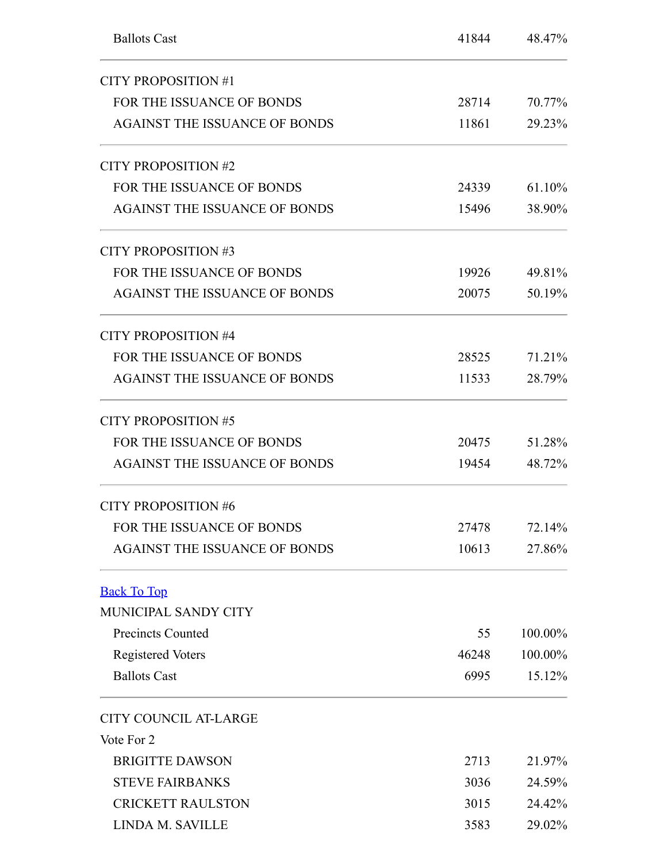<span id="page-4-0"></span>

| <b>Ballots Cast</b>                  | 41844 | 48.47%  |  |
|--------------------------------------|-------|---------|--|
| <b>CITY PROPOSITION #1</b>           |       |         |  |
| FOR THE ISSUANCE OF BONDS            | 28714 | 70.77%  |  |
| <b>AGAINST THE ISSUANCE OF BONDS</b> | 11861 | 29.23%  |  |
| CITY PROPOSITION #2                  |       |         |  |
| FOR THE ISSUANCE OF BONDS            | 24339 | 61.10%  |  |
| <b>AGAINST THE ISSUANCE OF BONDS</b> | 15496 | 38.90%  |  |
| <b>CITY PROPOSITION #3</b>           |       |         |  |
| FOR THE ISSUANCE OF BONDS            | 19926 | 49.81%  |  |
| <b>AGAINST THE ISSUANCE OF BONDS</b> | 20075 | 50.19%  |  |
| <b>CITY PROPOSITION #4</b>           |       |         |  |
| FOR THE ISSUANCE OF BONDS            | 28525 | 71.21%  |  |
| <b>AGAINST THE ISSUANCE OF BONDS</b> | 11533 | 28.79%  |  |
| <b>CITY PROPOSITION #5</b>           |       |         |  |
| FOR THE ISSUANCE OF BONDS            | 20475 | 51.28%  |  |
| <b>AGAINST THE ISSUANCE OF BONDS</b> | 19454 | 48.72%  |  |
| <b>CITY PROPOSITION #6</b>           |       |         |  |
| FOR THE ISSUANCE OF BONDS            | 27478 | 72.14%  |  |
| <b>AGAINST THE ISSUANCE OF BONDS</b> | 10613 | 27.86%  |  |
| <b>Back To Top</b>                   |       |         |  |
| MUNICIPAL SANDY CITY                 |       |         |  |
| <b>Precincts Counted</b>             | 55    | 100.00% |  |
| <b>Registered Voters</b>             | 46248 | 100.00% |  |
| <b>Ballots Cast</b>                  | 6995  | 15.12%  |  |
| <b>CITY COUNCIL AT-LARGE</b>         |       |         |  |
| Vote For 2                           |       |         |  |
| <b>BRIGITTE DAWSON</b>               | 2713  | 21.97%  |  |
| <b>STEVE FAIRBANKS</b>               | 3036  | 24.59%  |  |
| <b>CRICKETT RAULSTON</b>             | 3015  | 24.42%  |  |
| LINDA M. SAVILLE                     | 3583  | 29.02%  |  |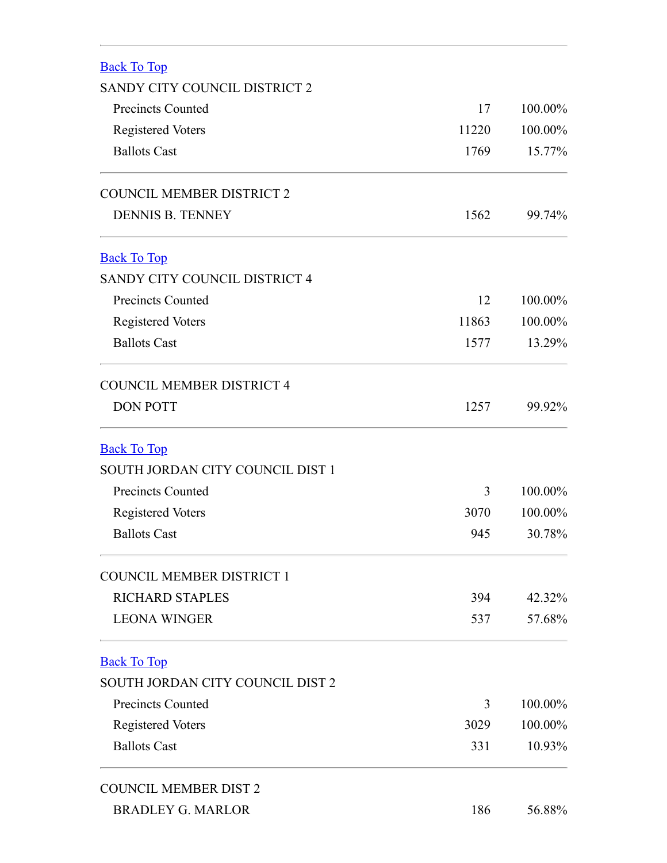<span id="page-5-3"></span><span id="page-5-2"></span><span id="page-5-1"></span><span id="page-5-0"></span>

| <b>Back To Top</b>               |       |         |
|----------------------------------|-------|---------|
| SANDY CITY COUNCIL DISTRICT 2    |       |         |
| <b>Precincts Counted</b>         | 17    | 100.00% |
| <b>Registered Voters</b>         | 11220 | 100.00% |
| <b>Ballots Cast</b>              | 1769  | 15.77%  |
| <b>COUNCIL MEMBER DISTRICT 2</b> |       |         |
| <b>DENNIS B. TENNEY</b>          | 1562  | 99.74%  |
| <b>Back To Top</b>               |       |         |
| SANDY CITY COUNCIL DISTRICT 4    |       |         |
| <b>Precincts Counted</b>         | 12    | 100.00% |
| <b>Registered Voters</b>         | 11863 | 100.00% |
| <b>Ballots Cast</b>              | 1577  | 13.29%  |
| <b>COUNCIL MEMBER DISTRICT 4</b> |       |         |
| <b>DON POTT</b>                  | 1257  | 99.92%  |
| <b>Back To Top</b>               |       |         |
| SOUTH JORDAN CITY COUNCIL DIST 1 |       |         |
| <b>Precincts Counted</b>         | 3     | 100.00% |
| <b>Registered Voters</b>         | 3070  | 100.00% |
| <b>Ballots Cast</b>              | 945   | 30.78%  |
| <b>COUNCIL MEMBER DISTRICT 1</b> |       |         |
| <b>RICHARD STAPLES</b>           | 394   | 42.32%  |
| <b>LEONA WINGER</b>              | 537   | 57.68%  |
| <b>Back To Top</b>               |       |         |
| SOUTH JORDAN CITY COUNCIL DIST 2 |       |         |
| <b>Precincts Counted</b>         | 3     | 100.00% |
| <b>Registered Voters</b>         | 3029  | 100.00% |
| <b>Ballots Cast</b>              | 331   | 10.93%  |
| <b>COUNCIL MEMBER DIST 2</b>     |       |         |
| <b>BRADLEY G. MARLOR</b>         | 186   | 56.88%  |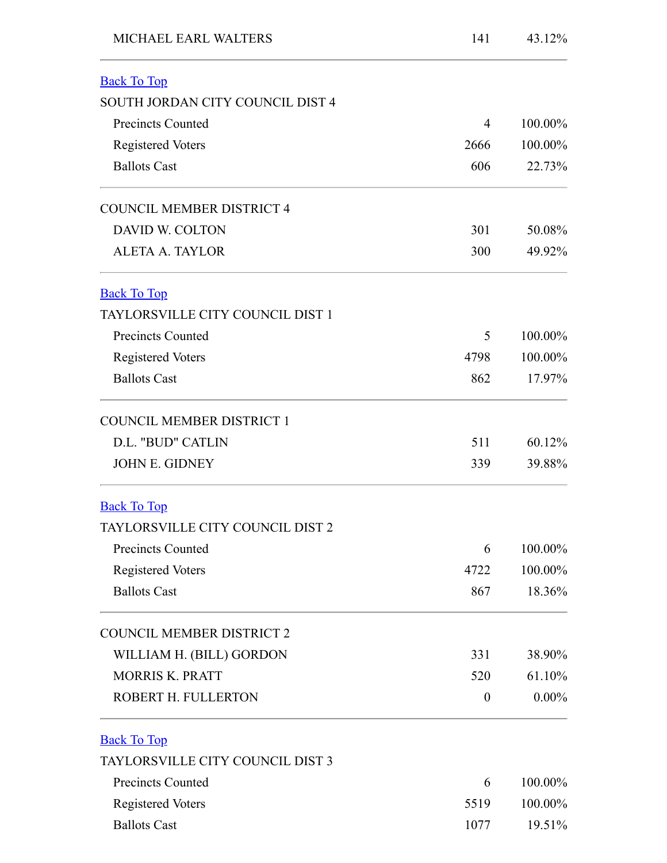<span id="page-6-3"></span><span id="page-6-2"></span><span id="page-6-1"></span><span id="page-6-0"></span>

| MICHAEL EARL WALTERS                    | 141      | 43.12%   |
|-----------------------------------------|----------|----------|
| <b>Back To Top</b>                      |          |          |
| SOUTH JORDAN CITY COUNCIL DIST 4        |          |          |
| <b>Precincts Counted</b>                | 4        | 100.00%  |
| <b>Registered Voters</b>                | 2666     | 100.00%  |
| <b>Ballots Cast</b>                     | 606      | 22.73%   |
| <b>COUNCIL MEMBER DISTRICT 4</b>        |          |          |
| <b>DAVID W. COLTON</b>                  | 301      | 50.08%   |
| <b>ALETA A. TAYLOR</b>                  | 300      | 49.92%   |
| <b>Back To Top</b>                      |          |          |
| <b>TAYLORSVILLE CITY COUNCIL DIST 1</b> |          |          |
| <b>Precincts Counted</b>                | 5        | 100.00%  |
| <b>Registered Voters</b>                | 4798     | 100.00%  |
| <b>Ballots Cast</b>                     | 862      | 17.97%   |
| <b>COUNCIL MEMBER DISTRICT 1</b>        |          |          |
| D.L. "BUD" CATLIN                       | 511      | 60.12%   |
| <b>JOHN E. GIDNEY</b>                   | 339      | 39.88%   |
| <b>Back To Top</b>                      |          |          |
| TAYLORSVILLE CITY COUNCIL DIST 2        |          |          |
| <b>Precincts Counted</b>                | 6        | 100.00%  |
| <b>Registered Voters</b>                | 4722     | 100.00%  |
| <b>Ballots Cast</b>                     | 867      | 18.36%   |
| <b>COUNCIL MEMBER DISTRICT 2</b>        |          |          |
| WILLIAM H. (BILL) GORDON                | 331      | 38.90%   |
| <b>MORRIS K. PRATT</b>                  | 520      | 61.10%   |
| ROBERT H. FULLERTON                     | $\theta$ | $0.00\%$ |
| <b>Back To Top</b>                      |          |          |
| TAYLORSVILLE CITY COUNCIL DIST 3        |          |          |
| <b>Precincts Counted</b>                | 6        | 100.00%  |
| <b>Registered Voters</b>                | 5519     | 100.00%  |
| <b>Ballots Cast</b>                     | 1077     | 19.51%   |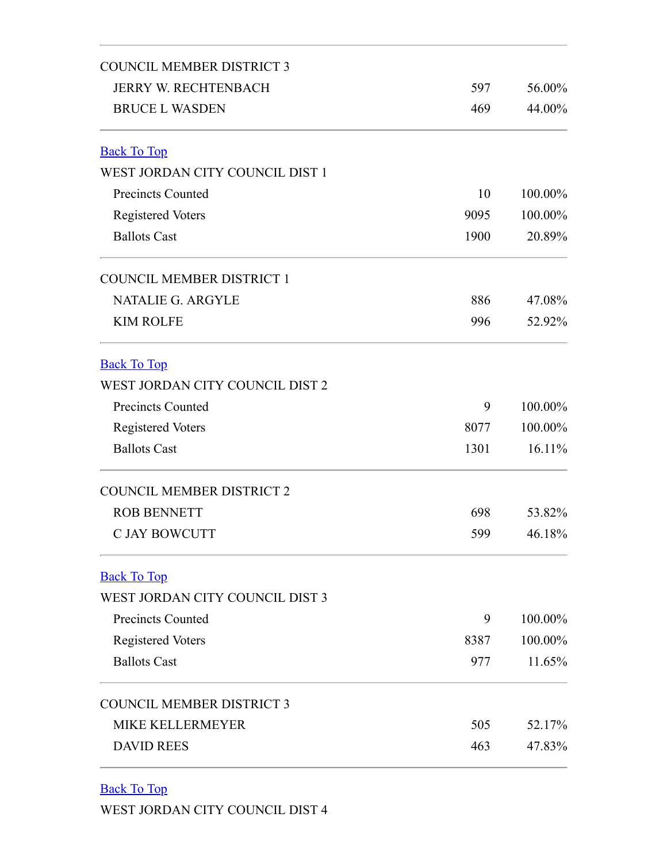<span id="page-7-1"></span><span id="page-7-0"></span>

| <b>COUNCIL MEMBER DISTRICT 3</b> |      |         |  |
|----------------------------------|------|---------|--|
| <b>JERRY W. RECHTENBACH</b>      | 597  | 56.00%  |  |
| <b>BRUCE L WASDEN</b>            | 469  | 44.00%  |  |
| <b>Back To Top</b>               |      |         |  |
| WEST JORDAN CITY COUNCIL DIST 1  |      |         |  |
| <b>Precincts Counted</b>         | 10   | 100.00% |  |
| <b>Registered Voters</b>         | 9095 | 100.00% |  |
| <b>Ballots Cast</b>              | 1900 | 20.89%  |  |
| <b>COUNCIL MEMBER DISTRICT 1</b> |      |         |  |
| <b>NATALIE G. ARGYLE</b>         | 886  | 47.08%  |  |
| <b>KIM ROLFE</b>                 | 996  | 52.92%  |  |
| <b>Back To Top</b>               |      |         |  |
| WEST JORDAN CITY COUNCIL DIST 2  |      |         |  |
| <b>Precincts Counted</b>         | 9    | 100.00% |  |
| <b>Registered Voters</b>         | 8077 | 100.00% |  |
| <b>Ballots Cast</b>              | 1301 | 16.11%  |  |
| <b>COUNCIL MEMBER DISTRICT 2</b> |      |         |  |
| <b>ROB BENNETT</b>               | 698  | 53.82%  |  |
| <b>C JAY BOWCUTT</b>             | 599  | 46.18%  |  |
| <b>Back To Top</b>               |      |         |  |
| WEST JORDAN CITY COUNCIL DIST 3  |      |         |  |
| <b>Precincts Counted</b>         | 9    | 100.00% |  |
| <b>Registered Voters</b>         | 8387 | 100.00% |  |
| <b>Ballots Cast</b>              | 977  | 11.65%  |  |
| <b>COUNCIL MEMBER DISTRICT 3</b> |      |         |  |
| <b>MIKE KELLERMEYER</b>          | 505  | 52.17%  |  |
| <b>DAVID REES</b>                | 463  | 47.83%  |  |

<span id="page-7-3"></span><span id="page-7-2"></span>Back To Top

WEST JORDAN CITY COUNCIL DIST 4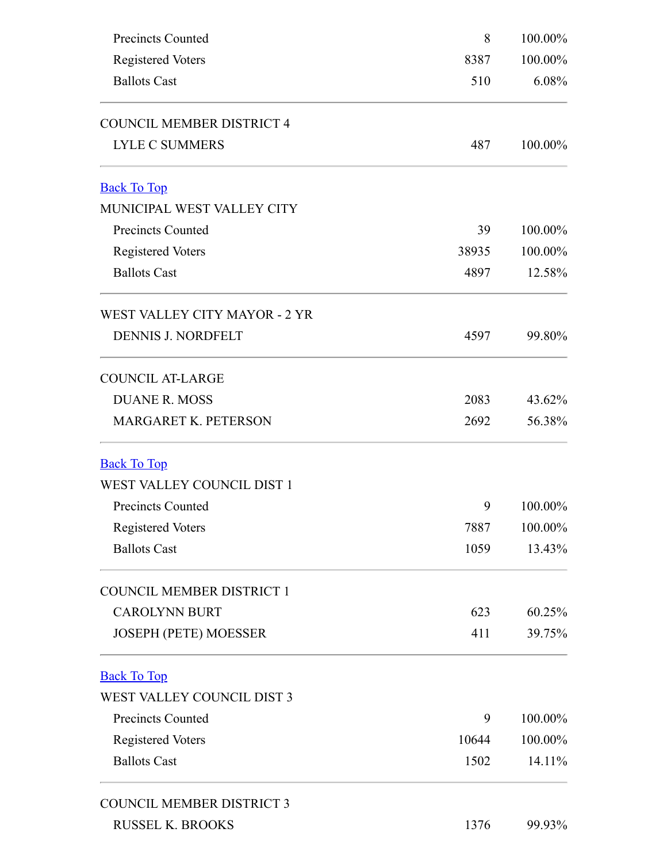<span id="page-8-2"></span><span id="page-8-1"></span><span id="page-8-0"></span>

| <b>Precincts Counted</b>         | 8     | 100.00% |  |
|----------------------------------|-------|---------|--|
| <b>Registered Voters</b>         | 8387  | 100.00% |  |
| <b>Ballots Cast</b>              | 510   | 6.08%   |  |
| <b>COUNCIL MEMBER DISTRICT 4</b> |       |         |  |
| <b>LYLE C SUMMERS</b>            | 487   | 100.00% |  |
| <b>Back To Top</b>               |       |         |  |
| MUNICIPAL WEST VALLEY CITY       |       |         |  |
| <b>Precincts Counted</b>         | 39    | 100.00% |  |
| <b>Registered Voters</b>         | 38935 | 100.00% |  |
| <b>Ballots Cast</b>              | 4897  | 12.58%  |  |
| WEST VALLEY CITY MAYOR - 2 YR    |       |         |  |
| <b>DENNIS J. NORDFELT</b>        | 4597  | 99.80%  |  |
| <b>COUNCIL AT-LARGE</b>          |       |         |  |
| <b>DUANE R. MOSS</b>             | 2083  | 43.62%  |  |
| MARGARET K. PETERSON             | 2692  | 56.38%  |  |
| <b>Back To Top</b>               |       |         |  |
| WEST VALLEY COUNCIL DIST 1       |       |         |  |
| <b>Precincts Counted</b>         | 9     | 100.00% |  |
| <b>Registered Voters</b>         | 7887  | 100.00% |  |
| <b>Ballots Cast</b>              | 1059  | 13.43%  |  |
| <b>COUNCIL MEMBER DISTRICT 1</b> |       |         |  |
| <b>CAROLYNN BURT</b>             | 623   | 60.25%  |  |
| <b>JOSEPH (PETE) MOESSER</b>     | 411   | 39.75%  |  |
| <b>Back To Top</b>               |       |         |  |
| WEST VALLEY COUNCIL DIST 3       |       |         |  |
| <b>Precincts Counted</b>         | 9     | 100.00% |  |
| <b>Registered Voters</b>         | 10644 | 100.00% |  |
| <b>Ballots Cast</b>              | 1502  | 14.11%  |  |
| <b>COUNCIL MEMBER DISTRICT 3</b> |       |         |  |
| <b>RUSSEL K. BROOKS</b>          | 1376  | 99.93%  |  |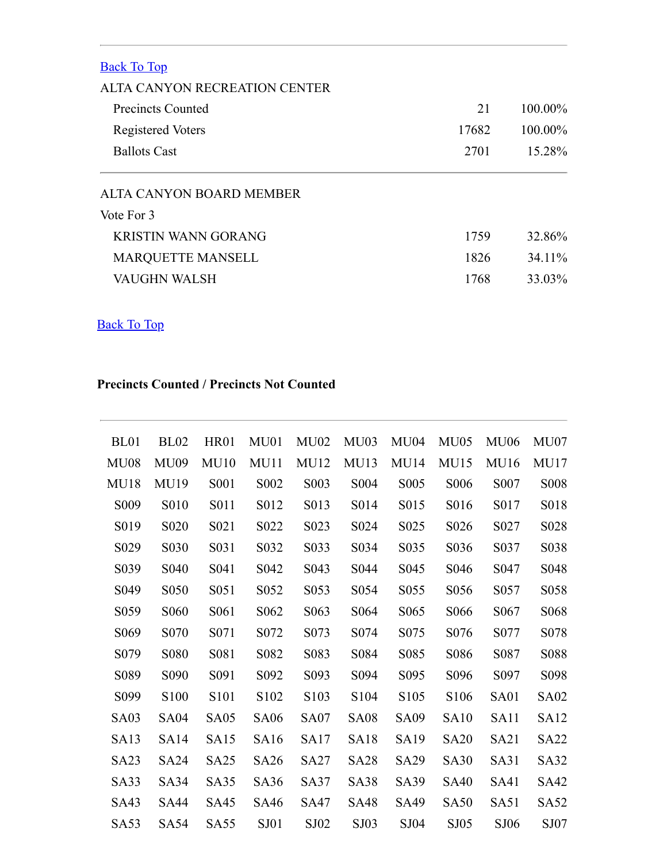<span id="page-9-0"></span>

| <b>Back To Top</b>            |       |            |
|-------------------------------|-------|------------|
| ALTA CANYON RECREATION CENTER |       |            |
| Precincts Counted             | 21    | $100.00\%$ |
| <b>Registered Voters</b>      | 17682 | 100.00%    |
| <b>Ballots Cast</b>           | 2701  | 15.28%     |
| ALTA CANYON BOARD MEMBER      |       |            |
| Vote For 3                    |       |            |
| <b>KRISTIN WANN GORANG</b>    | 1759  | 32.86%     |
| <b>MARQUETTE MANSELL</b>      | 1826  | 34.11%     |
| VAUGHN WALSH                  | 1768  | 33.03%     |

## <span id="page-9-1"></span>Back To Top

#### **Precincts Counted / Precincts Not Counted**

| BL <sub>01</sub>  | <b>BL02</b>                   | <b>HR01</b>       | MU01              | MU02              | <b>MU03</b>       | <b>MU04</b>       | MU05              | <b>MU06</b>       | MU07             |
|-------------------|-------------------------------|-------------------|-------------------|-------------------|-------------------|-------------------|-------------------|-------------------|------------------|
| <b>MU08</b>       | <b>MU09</b>                   | MU10              | <b>MU11</b>       | <b>MU12</b>       | MU13              | MU14              | MU15              | MU16              | <b>MU17</b>      |
| <b>MU18</b>       | MU19                          | S <sub>001</sub>  | S002              | S <sub>00</sub> 3 | S004              | S005              | S006              | S <sub>007</sub>  | <b>S008</b>      |
| S <sub>009</sub>  | S010                          | S011              | S012              | S013              | S014              | S015              | S <sub>0</sub> 16 | S <sub>0</sub> 17 | S018             |
| S <sub>0</sub> 19 | S <sub>0</sub> 2 <sub>0</sub> | S <sub>021</sub>  | S <sub>022</sub>  | S <sub>023</sub>  | S <sub>0</sub> 24 | S <sub>0</sub> 25 | S <sub>0</sub> 26 | S <sub>027</sub>  | S <sub>028</sub> |
| S <sub>029</sub>  | S <sub>0</sub> 30             | S <sub>0</sub> 31 | S032              | S033              | S034              | S035              | S <sub>0</sub> 36 | S <sub>0</sub> 37 | S038             |
| S <sub>0</sub> 39 | S <sub>040</sub>              | S <sub>041</sub>  | S <sub>042</sub>  | S <sub>04</sub> 3 | S <sub>044</sub>  | S <sub>045</sub>  | S <sub>046</sub>  | S <sub>047</sub>  | S <sub>048</sub> |
| S <sub>049</sub>  | S <sub>050</sub>              | S <sub>051</sub>  | S <sub>052</sub>  | S <sub>053</sub>  | S <sub>054</sub>  | S <sub>055</sub>  | S <sub>056</sub>  | S057              | S <sub>058</sub> |
| S <sub>059</sub>  | S <sub>06</sub> 0             | S <sub>061</sub>  | S <sub>062</sub>  | S <sub>063</sub>  | S <sub>064</sub>  | S <sub>065</sub>  | S <sub>066</sub>  | S <sub>067</sub>  | S <sub>068</sub> |
| S <sub>069</sub>  | S <sub>070</sub>              | S <sub>071</sub>  | S <sub>0</sub> 72 | S <sub>0</sub> 73 | S <sub>0</sub> 74 | S <sub>075</sub>  | S <sub>076</sub>  | S077              | S078             |
| S <sub>079</sub>  | S <sub>0</sub> 8 <sub>0</sub> | S081              | S082              | S <sub>0</sub> 83 | S <sub>0</sub> 84 | S <sub>0</sub> 85 | S <sub>0</sub> 86 | S <sub>0</sub> 87 | S088             |
| S089              | S090                          | S091              | S092              | S093              | S094              | S095              | S096              | S097              | S098             |
| S <sub>099</sub>  | S <sub>100</sub>              | S101              | S <sub>102</sub>  | S <sub>103</sub>  | S <sub>104</sub>  | S <sub>105</sub>  | S <sub>106</sub>  | SA01              | <b>SA02</b>      |
| SA <sub>03</sub>  | SA <sub>04</sub>              | SA <sub>05</sub>  | <b>SA06</b>       | <b>SA07</b>       | <b>SA08</b>       | <b>SA09</b>       | <b>SA10</b>       | SA <sub>11</sub>  | <b>SA12</b>      |
| <b>SA13</b>       | SA14                          | <b>SA15</b>       | SA16              | <b>SA17</b>       | <b>SA18</b>       | <b>SA19</b>       | <b>SA20</b>       | SA <sub>21</sub>  | <b>SA22</b>      |
| SA <sub>2</sub> 3 | SA <sub>24</sub>              | SA <sub>25</sub>  | <b>SA26</b>       | <b>SA27</b>       | <b>SA28</b>       | <b>SA29</b>       | <b>SA30</b>       | SA31              | <b>SA32</b>      |
| SA33              | SA34                          | SA35              | <b>SA36</b>       | <b>SA37</b>       | <b>SA38</b>       | <b>SA39</b>       | <b>SA40</b>       | SA41              | <b>SA42</b>      |
| SA43              | SA44                          | <b>SA45</b>       | SA46              | SA47              | <b>SA48</b>       | SA49              | <b>SA50</b>       | SA51              | <b>SA52</b>      |
| <b>SA53</b>       | <b>SA54</b>                   | <b>SA55</b>       | SJ01              | SJ02              | SJ03              | SJ04              | S <sub>J</sub> 05 | SJ06              | SJ07             |